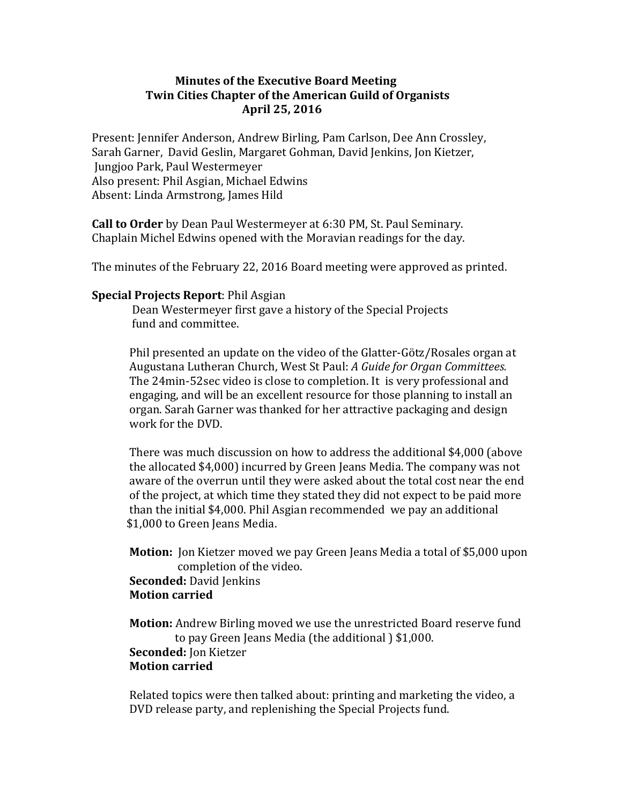## **Minutes of the Executive Board Meeting Twin Cities Chapter of the American Guild of Organists April 25, 2016**

Present: Jennifer Anderson, Andrew Birling, Pam Carlson, Dee Ann Crossley, Sarah Garner, David Geslin, Margaret Gohman, David Jenkins, Jon Kietzer, Jungjoo Park, Paul Westermeyer Also present: Phil Asgian, Michael Edwins Absent: Linda Armstrong, James Hild

**Call to Order** by Dean Paul Westermeyer at 6:30 PM, St. Paul Seminary. Chaplain Michel Edwins opened with the Moravian readings for the day.

The minutes of the February 22, 2016 Board meeting were approved as printed.

## **Special Projects Report: Phil Asgian**

Dean Westermeyer first gave a history of the Special Projects fund and committee.

Phil presented an update on the video of the Glatter-Götz/Rosales organ at Augustana Lutheran Church, West St Paul: *A Guide for Organ Committees.* The 24min-52sec video is close to completion. It is very professional and engaging, and will be an excellent resource for those planning to install an organ. Sarah Garner was thanked for her attractive packaging and design work for the DVD.

There was much discussion on how to address the additional \$4,000 (above the allocated \$4,000) incurred by Green Jeans Media. The company was not aware of the overrun until they were asked about the total cost near the end of the project, at which time they stated they did not expect to be paid more than the initial \$4,000. Phil Asgian recommended we pay an additional \$1,000 to Green Jeans Media.

**Motion:** Jon Kietzer moved we pay Green Jeans Media a total of \$5,000 upon completion of the video. **Seconded:** David Jenkins **Motion carried**

**Motion:** Andrew Birling moved we use the unrestricted Board reserve fund to pay Green Jeans Media (the additional ) \$1,000. **Seconded:** Jon Kietzer **Motion carried**

Related topics were then talked about: printing and marketing the video, a DVD release party, and replenishing the Special Projects fund.